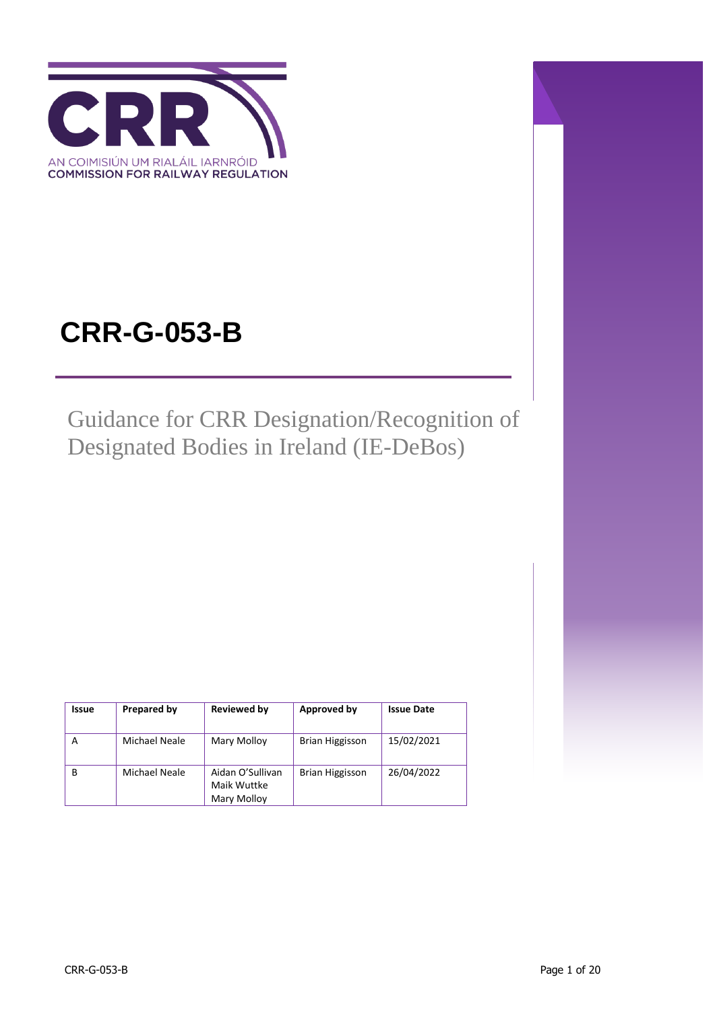

# **CRR-G-053-B**

Guidance for CRR Designation/Recognition of Designated Bodies in Ireland (IE-DeBos)

| Issue | Prepared by   | <b>Reviewed by</b>                             | Approved by            | <b>Issue Date</b> |
|-------|---------------|------------------------------------------------|------------------------|-------------------|
| А     | Michael Neale | Mary Molloy                                    | <b>Brian Higgisson</b> | 15/02/2021        |
| в     | Michael Neale | Aidan O'Sullivan<br>Maik Wuttke<br>Mary Molloy | Brian Higgisson        | 26/04/2022        |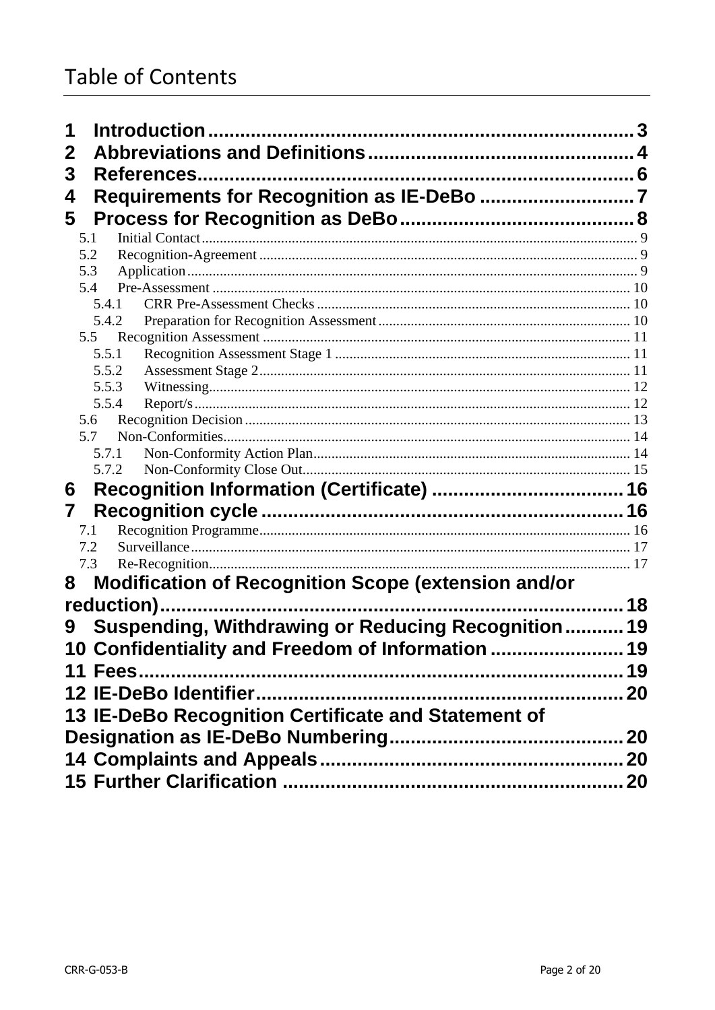| 1                                                           |    |
|-------------------------------------------------------------|----|
| $\mathbf{2}$                                                |    |
| 3                                                           |    |
| 4                                                           |    |
|                                                             |    |
| 5                                                           |    |
| 5.1<br>5.2                                                  |    |
| 5.3                                                         |    |
| 5.4                                                         |    |
| 5.4.1                                                       |    |
| 5.4.2                                                       |    |
| 5.5                                                         |    |
| 5.5.1                                                       |    |
| 5.5.2                                                       |    |
| 5.5.3                                                       |    |
| 5.5.4                                                       |    |
| 5.6<br>5.7                                                  |    |
| 5.7.1                                                       |    |
| 5.7.2                                                       |    |
| 6                                                           |    |
|                                                             |    |
| 7                                                           |    |
| 7.1<br>7.2                                                  |    |
| 7.3                                                         |    |
| 8                                                           |    |
| <b>Modification of Recognition Scope (extension and/or</b>  |    |
|                                                             |    |
| <b>Suspending, Withdrawing or Reducing Recognition</b><br>9 | 19 |
| 10 Confidentiality and Freedom of Information  19           |    |
|                                                             |    |
|                                                             |    |
|                                                             |    |
| 13 IE-DeBo Recognition Certificate and Statement of         |    |
|                                                             |    |
|                                                             |    |
|                                                             |    |
|                                                             |    |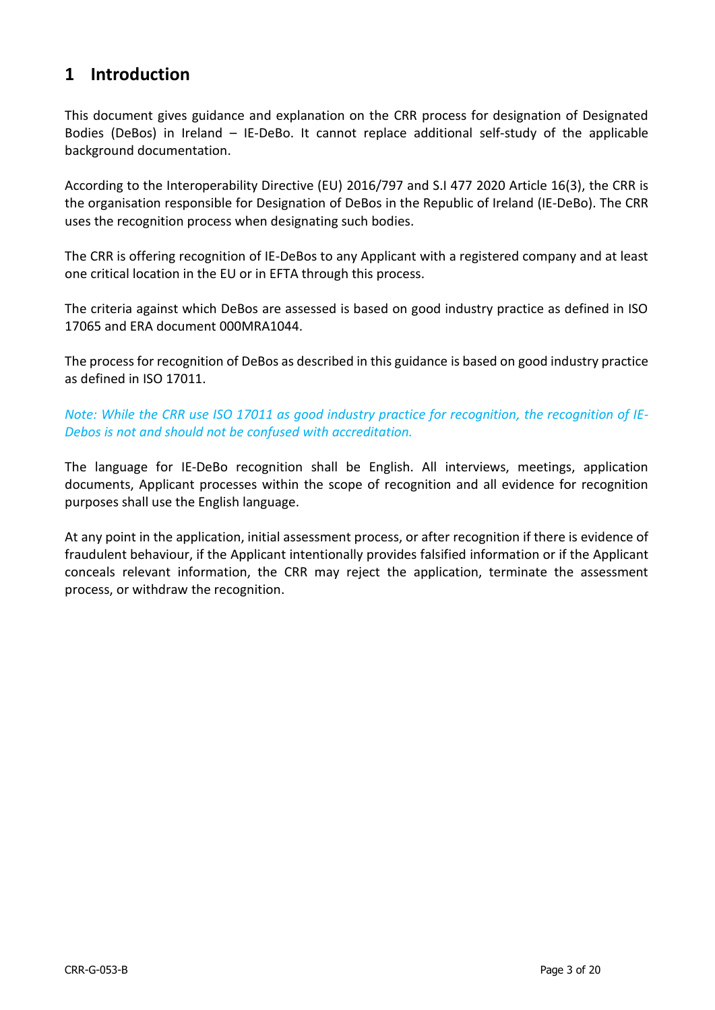## <span id="page-2-0"></span>**1 Introduction**

This document gives guidance and explanation on the CRR process for designation of Designated Bodies (DeBos) in Ireland – IE-DeBo. It cannot replace additional self-study of the applicable background documentation.

According to the Interoperability Directive (EU) 2016/797 and S.I 477 2020 Article 16(3), the CRR is the organisation responsible for Designation of DeBos in the Republic of Ireland (IE-DeBo). The CRR uses the recognition process when designating such bodies.

The CRR is offering recognition of IE-DeBos to any Applicant with a registered company and at least one critical location in the EU or in EFTA through this process.

The criteria against which DeBos are assessed is based on good industry practice as defined in ISO 17065 and ERA document 000MRA1044.

The process for recognition of DeBos as described in this guidance is based on good industry practice as defined in ISO 17011.

*Note: While the CRR use ISO 17011 as good industry practice for recognition, the recognition of IE-Debos is not and should not be confused with accreditation.*

The language for IE-DeBo recognition shall be English. All interviews, meetings, application documents, Applicant processes within the scope of recognition and all evidence for recognition purposes shall use the English language.

At any point in the application, initial assessment process, or after recognition if there is evidence of fraudulent behaviour, if the Applicant intentionally provides falsified information or if the Applicant conceals relevant information, the CRR may reject the application, terminate the assessment process, or withdraw the recognition.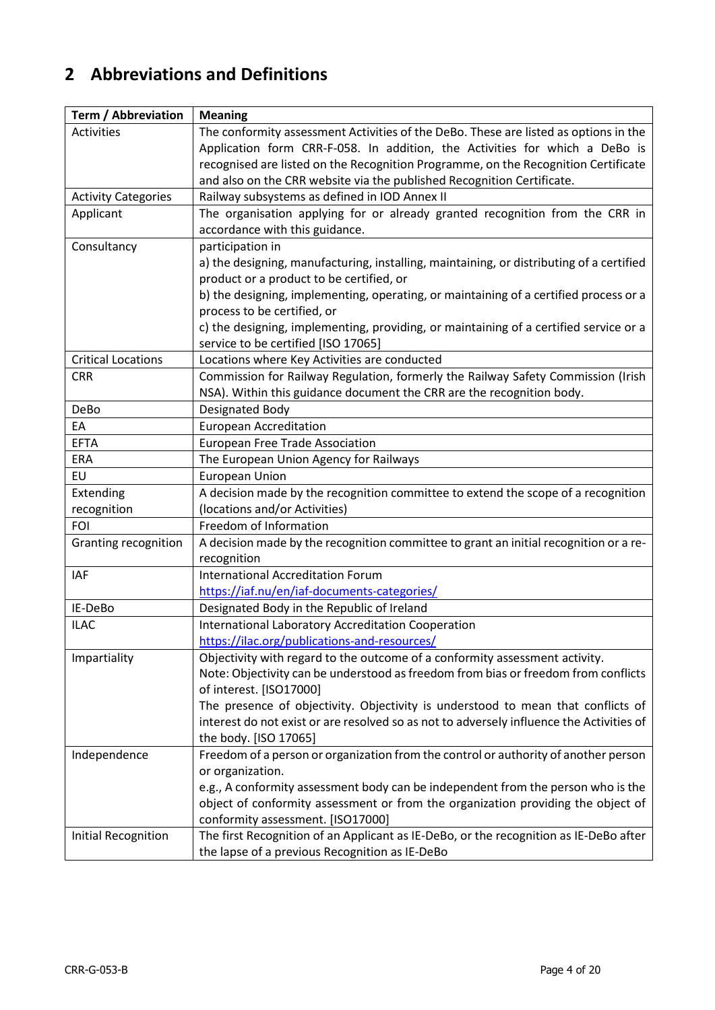# <span id="page-3-0"></span>**2 Abbreviations and Definitions**

| Term / Abbreviation         | <b>Meaning</b>                                                                           |
|-----------------------------|------------------------------------------------------------------------------------------|
| Activities                  | The conformity assessment Activities of the DeBo. These are listed as options in the     |
|                             | Application form CRR-F-058. In addition, the Activities for which a DeBo is              |
|                             | recognised are listed on the Recognition Programme, on the Recognition Certificate       |
|                             | and also on the CRR website via the published Recognition Certificate.                   |
| <b>Activity Categories</b>  | Railway subsystems as defined in IOD Annex II                                            |
| Applicant                   | The organisation applying for or already granted recognition from the CRR in             |
|                             | accordance with this guidance.                                                           |
| Consultancy                 | participation in                                                                         |
|                             | a) the designing, manufacturing, installing, maintaining, or distributing of a certified |
|                             | product or a product to be certified, or                                                 |
|                             | b) the designing, implementing, operating, or maintaining of a certified process or a    |
|                             | process to be certified, or                                                              |
|                             | c) the designing, implementing, providing, or maintaining of a certified service or a    |
|                             | service to be certified [ISO 17065]                                                      |
| <b>Critical Locations</b>   | Locations where Key Activities are conducted                                             |
| <b>CRR</b>                  | Commission for Railway Regulation, formerly the Railway Safety Commission (Irish         |
|                             | NSA). Within this guidance document the CRR are the recognition body.                    |
| DeBo                        | Designated Body                                                                          |
| EA                          | <b>European Accreditation</b>                                                            |
| <b>EFTA</b>                 | <b>European Free Trade Association</b>                                                   |
| ERA                         | The European Union Agency for Railways                                                   |
| EU                          | <b>European Union</b>                                                                    |
| Extending                   | A decision made by the recognition committee to extend the scope of a recognition        |
| recognition                 | (locations and/or Activities)                                                            |
| <b>FOI</b>                  | Freedom of Information                                                                   |
| <b>Granting recognition</b> | A decision made by the recognition committee to grant an initial recognition or a re-    |
|                             | recognition                                                                              |
| <b>IAF</b>                  | <b>International Accreditation Forum</b>                                                 |
|                             | https://iaf.nu/en/iaf-documents-categories/                                              |
| IE-DeBo                     | Designated Body in the Republic of Ireland                                               |
| <b>ILAC</b>                 | International Laboratory Accreditation Cooperation                                       |
|                             | https://ilac.org/publications-and-resources/                                             |
| Impartiality                | Objectivity with regard to the outcome of a conformity assessment activity.              |
|                             | Note: Objectivity can be understood as freedom from bias or freedom from conflicts       |
|                             | of interest. [ISO17000]                                                                  |
|                             | The presence of objectivity. Objectivity is understood to mean that conflicts of         |
|                             | interest do not exist or are resolved so as not to adversely influence the Activities of |
|                             | the body. [ISO 17065]                                                                    |
| Independence                | Freedom of a person or organization from the control or authority of another person      |
|                             | or organization.                                                                         |
|                             | e.g., A conformity assessment body can be independent from the person who is the         |
|                             | object of conformity assessment or from the organization providing the object of         |
|                             | conformity assessment. [ISO17000]                                                        |
| <b>Initial Recognition</b>  | The first Recognition of an Applicant as IE-DeBo, or the recognition as IE-DeBo after    |
|                             | the lapse of a previous Recognition as IE-DeBo                                           |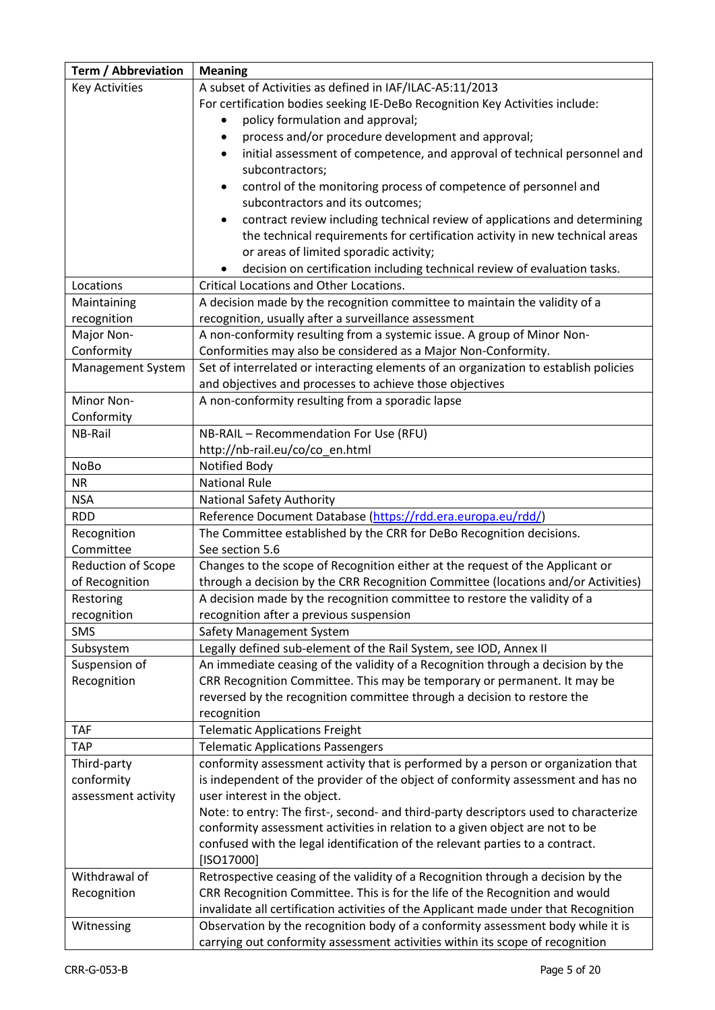| <b>Term / Abbreviation</b> | <b>Meaning</b>                                                                                                       |
|----------------------------|----------------------------------------------------------------------------------------------------------------------|
| <b>Key Activities</b>      | A subset of Activities as defined in IAF/ILAC-A5:11/2013                                                             |
|                            | For certification bodies seeking IE-DeBo Recognition Key Activities include:                                         |
|                            | policy formulation and approval;                                                                                     |
|                            | process and/or procedure development and approval;<br>$\bullet$                                                      |
|                            | initial assessment of competence, and approval of technical personnel and                                            |
|                            | subcontractors;                                                                                                      |
|                            | control of the monitoring process of competence of personnel and<br>$\bullet$                                        |
|                            | subcontractors and its outcomes;                                                                                     |
|                            | contract review including technical review of applications and determining                                           |
|                            | the technical requirements for certification activity in new technical areas                                         |
|                            | or areas of limited sporadic activity;                                                                               |
|                            | decision on certification including technical review of evaluation tasks.                                            |
| Locations                  | <b>Critical Locations and Other Locations.</b>                                                                       |
| Maintaining                | A decision made by the recognition committee to maintain the validity of a                                           |
| recognition                | recognition, usually after a surveillance assessment                                                                 |
| Major Non-                 | A non-conformity resulting from a systemic issue. A group of Minor Non-                                              |
| Conformity                 | Conformities may also be considered as a Major Non-Conformity.                                                       |
| Management System          | Set of interrelated or interacting elements of an organization to establish policies                                 |
|                            | and objectives and processes to achieve those objectives                                                             |
| Minor Non-                 | A non-conformity resulting from a sporadic lapse                                                                     |
| Conformity                 |                                                                                                                      |
| NB-Rail                    | NB-RAIL - Recommendation For Use (RFU)                                                                               |
|                            | http://nb-rail.eu/co/co_en.html                                                                                      |
| <b>NoBo</b>                | Notified Body                                                                                                        |
| <b>NR</b>                  | <b>National Rule</b>                                                                                                 |
| <b>NSA</b>                 | <b>National Safety Authority</b>                                                                                     |
| <b>RDD</b>                 | Reference Document Database (https://rdd.era.europa.eu/rdd/)                                                         |
| Recognition                | The Committee established by the CRR for DeBo Recognition decisions.                                                 |
| Committee                  | See section 5.6                                                                                                      |
| Reduction of Scope         | Changes to the scope of Recognition either at the request of the Applicant or                                        |
| of Recognition             | through a decision by the CRR Recognition Committee (locations and/or Activities)                                    |
| Restoring<br>recognition   | A decision made by the recognition committee to restore the validity of a<br>recognition after a previous suspension |
| <b>SMS</b>                 | Safety Management System                                                                                             |
| Subsystem                  | Legally defined sub-element of the Rail System, see IOD, Annex II                                                    |
| Suspension of              | An immediate ceasing of the validity of a Recognition through a decision by the                                      |
| Recognition                | CRR Recognition Committee. This may be temporary or permanent. It may be                                             |
|                            | reversed by the recognition committee through a decision to restore the                                              |
|                            | recognition                                                                                                          |
| <b>TAF</b>                 | <b>Telematic Applications Freight</b>                                                                                |
| <b>TAP</b>                 | <b>Telematic Applications Passengers</b>                                                                             |
| Third-party                | conformity assessment activity that is performed by a person or organization that                                    |
| conformity                 | is independent of the provider of the object of conformity assessment and has no                                     |
| assessment activity        | user interest in the object.                                                                                         |
|                            | Note: to entry: The first-, second- and third-party descriptors used to characterize                                 |
|                            | conformity assessment activities in relation to a given object are not to be                                         |
|                            | confused with the legal identification of the relevant parties to a contract.                                        |
|                            | [ISO17000]                                                                                                           |
| Withdrawal of              | Retrospective ceasing of the validity of a Recognition through a decision by the                                     |
| Recognition                | CRR Recognition Committee. This is for the life of the Recognition and would                                         |
|                            | invalidate all certification activities of the Applicant made under that Recognition                                 |
| Witnessing                 | Observation by the recognition body of a conformity assessment body while it is                                      |
|                            | carrying out conformity assessment activities within its scope of recognition                                        |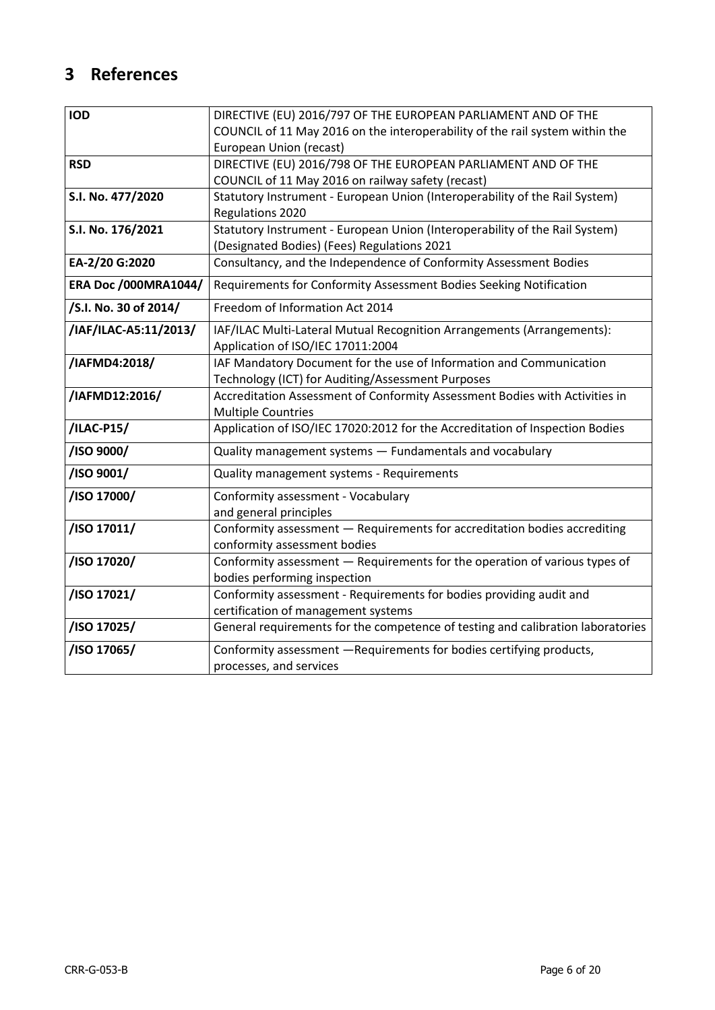# <span id="page-5-0"></span>**3 References**

| <b>IOD</b>                  | DIRECTIVE (EU) 2016/797 OF THE EUROPEAN PARLIAMENT AND OF THE                   |
|-----------------------------|---------------------------------------------------------------------------------|
|                             | COUNCIL of 11 May 2016 on the interoperability of the rail system within the    |
|                             | European Union (recast)                                                         |
| <b>RSD</b>                  | DIRECTIVE (EU) 2016/798 OF THE EUROPEAN PARLIAMENT AND OF THE                   |
|                             | COUNCIL of 11 May 2016 on railway safety (recast)                               |
| S.I. No. 477/2020           | Statutory Instrument - European Union (Interoperability of the Rail System)     |
|                             | Regulations 2020                                                                |
| S.I. No. 176/2021           | Statutory Instrument - European Union (Interoperability of the Rail System)     |
|                             | (Designated Bodies) (Fees) Regulations 2021                                     |
| EA-2/20 G:2020              | Consultancy, and the Independence of Conformity Assessment Bodies               |
| <b>ERA Doc /000MRA1044/</b> | Requirements for Conformity Assessment Bodies Seeking Notification              |
| /S.I. No. 30 of 2014/       | Freedom of Information Act 2014                                                 |
| /IAF/ILAC-A5:11/2013/       | IAF/ILAC Multi-Lateral Mutual Recognition Arrangements (Arrangements):          |
|                             | Application of ISO/IEC 17011:2004                                               |
| /IAFMD4:2018/               | IAF Mandatory Document for the use of Information and Communication             |
|                             | Technology (ICT) for Auditing/Assessment Purposes                               |
| /IAFMD12:2016/              | Accreditation Assessment of Conformity Assessment Bodies with Activities in     |
|                             | <b>Multiple Countries</b>                                                       |
| /ILAC-P15/                  | Application of ISO/IEC 17020:2012 for the Accreditation of Inspection Bodies    |
| /ISO 9000/                  | Quality management systems - Fundamentals and vocabulary                        |
| /ISO 9001/                  | Quality management systems - Requirements                                       |
| /ISO 17000/                 | Conformity assessment - Vocabulary                                              |
|                             | and general principles                                                          |
| /ISO 17011/                 | Conformity assessment - Requirements for accreditation bodies accrediting       |
|                             | conformity assessment bodies                                                    |
| /ISO 17020/                 | Conformity assessment - Requirements for the operation of various types of      |
|                             | bodies performing inspection                                                    |
| /ISO 17021/                 | Conformity assessment - Requirements for bodies providing audit and             |
|                             | certification of management systems                                             |
| /ISO 17025/                 | General requirements for the competence of testing and calibration laboratories |
| /ISO 17065/                 | Conformity assessment -Requirements for bodies certifying products,             |
|                             | processes, and services                                                         |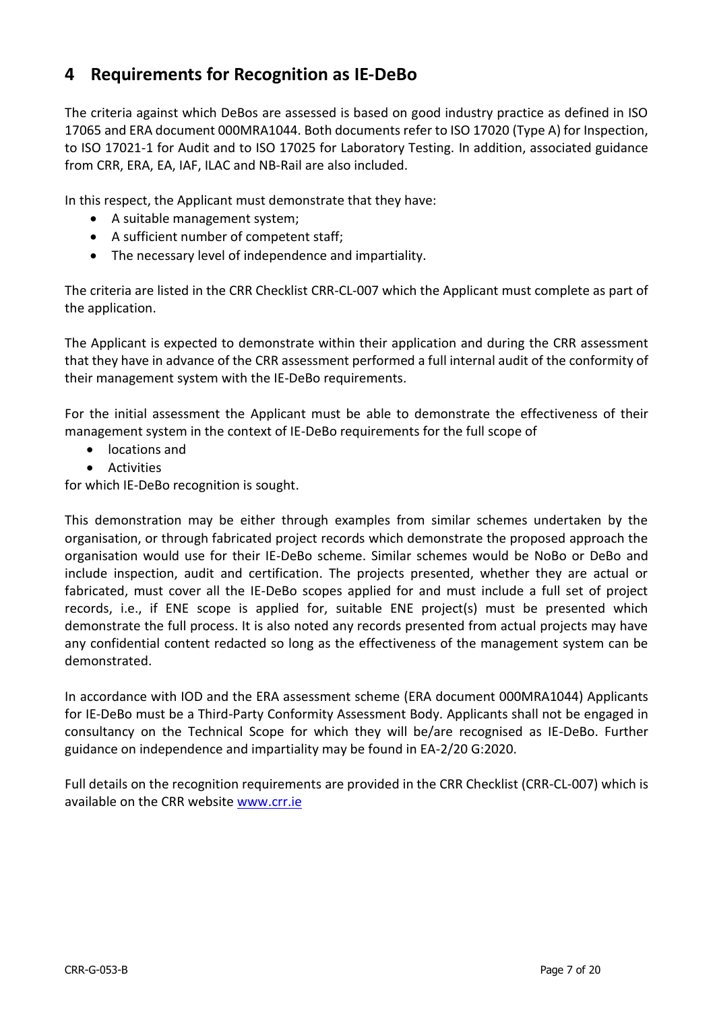# <span id="page-6-0"></span>**4 Requirements for Recognition as IE-DeBo**

The criteria against which DeBos are assessed is based on good industry practice as defined in ISO 17065 and ERA document 000MRA1044. Both documents refer to ISO 17020 (Type A) for Inspection, to ISO 17021-1 for Audit and to ISO 17025 for Laboratory Testing. In addition, associated guidance from CRR, ERA, EA, IAF, ILAC and NB-Rail are also included.

In this respect, the Applicant must demonstrate that they have:

- A suitable management system;
- A sufficient number of competent staff;
- The necessary level of independence and impartiality.

The criteria are listed in the CRR Checklist CRR-CL-007 which the Applicant must complete as part of the application.

The Applicant is expected to demonstrate within their application and during the CRR assessment that they have in advance of the CRR assessment performed a full internal audit of the conformity of their management system with the IE-DeBo requirements.

For the initial assessment the Applicant must be able to demonstrate the effectiveness of their management system in the context of IE-DeBo requirements for the full scope of

- locations and
- Activities

for which IE-DeBo recognition is sought.

This demonstration may be either through examples from similar schemes undertaken by the organisation, or through fabricated project records which demonstrate the proposed approach the organisation would use for their IE-DeBo scheme. Similar schemes would be NoBo or DeBo and include inspection, audit and certification. The projects presented, whether they are actual or fabricated, must cover all the IE-DeBo scopes applied for and must include a full set of project records, i.e., if ENE scope is applied for, suitable ENE project(s) must be presented which demonstrate the full process. It is also noted any records presented from actual projects may have any confidential content redacted so long as the effectiveness of the management system can be demonstrated.

In accordance with IOD and the ERA assessment scheme (ERA document 000MRA1044) Applicants for IE-DeBo must be a Third-Party Conformity Assessment Body. Applicants shall not be engaged in consultancy on the Technical Scope for which they will be/are recognised as IE-DeBo. Further guidance on independence and impartiality may be found in EA-2/20 G:2020.

Full details on the recognition requirements are provided in the CRR Checklist (CRR-CL-007) which is available on the CRR website [www.crr.ie](http://www.crr.ie/)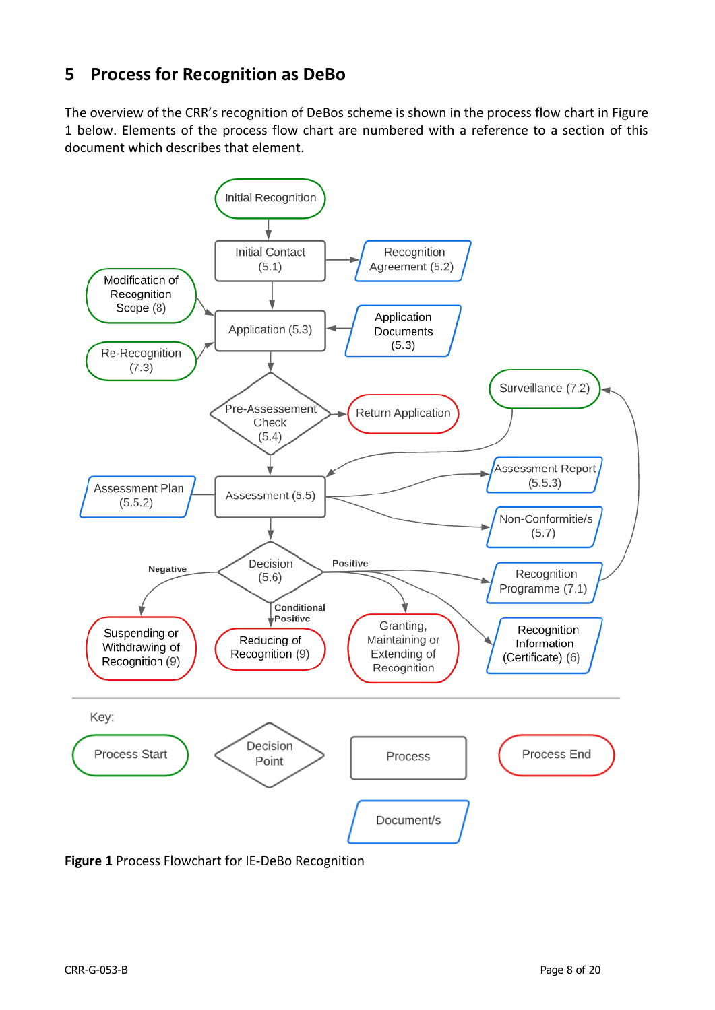# <span id="page-7-0"></span>**5 Process for Recognition as DeBo**

The overview of the CRR's recognition of DeBos scheme is shown in the process flow chart in Figure 1 below. Elements of the process flow chart are numbered with a reference to a section of this document which describes that element.



**Figure 1** Process Flowchart for IE-DeBo Recognition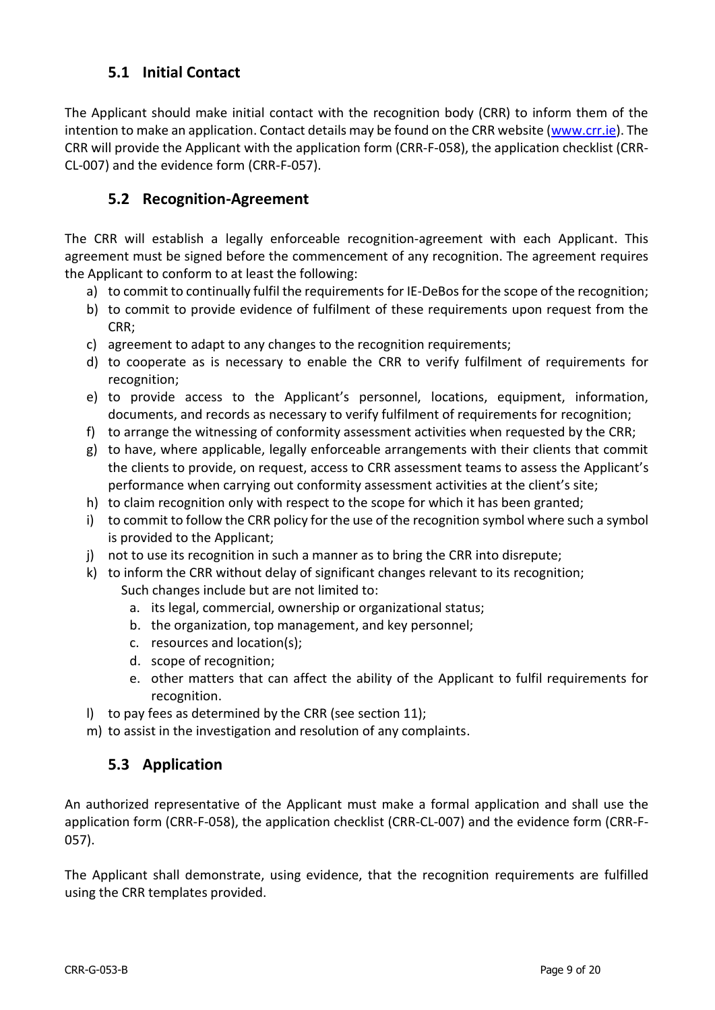## **5.1 Initial Contact**

<span id="page-8-0"></span>The Applicant should make initial contact with the recognition body (CRR) to inform them of the intention to make an application. Contact details may be found on the CRR website [\(www.crr.ie\)](http://www.crr.ie/). The CRR will provide the Applicant with the application form (CRR-F-058), the application checklist (CRR-CL-007) and the evidence form (CRR-F-057).

## <span id="page-8-1"></span>**5.2 Recognition-Agreement**

The CRR will establish a legally enforceable recognition-agreement with each Applicant. This agreement must be signed before the commencement of any recognition. The agreement requires the Applicant to conform to at least the following:

- a) to commit to continually fulfil the requirements for IE-DeBos for the scope of the recognition;
- b) to commit to provide evidence of fulfilment of these requirements upon request from the CRR;
- c) agreement to adapt to any changes to the recognition requirements;
- d) to cooperate as is necessary to enable the CRR to verify fulfilment of requirements for recognition;
- e) to provide access to the Applicant's personnel, locations, equipment, information, documents, and records as necessary to verify fulfilment of requirements for recognition;
- f) to arrange the witnessing of conformity assessment activities when requested by the CRR;
- g) to have, where applicable, legally enforceable arrangements with their clients that commit the clients to provide, on request, access to CRR assessment teams to assess the Applicant's performance when carrying out conformity assessment activities at the client's site;
- h) to claim recognition only with respect to the scope for which it has been granted;
- i) to commit to follow the CRR policy for the use of the recognition symbol where such a symbol is provided to the Applicant;
- j) not to use its recognition in such a manner as to bring the CRR into disrepute;
- k) to inform the CRR without delay of significant changes relevant to its recognition; Such changes include but are not limited to:
	- a. its legal, commercial, ownership or organizational status;
	- b. the organization, top management, and key personnel;
	- c. resources and location(s);
	- d. scope of recognition;
	- e. other matters that can affect the ability of the Applicant to fulfil requirements for recognition.
- l) to pay fees as determined by the CRR (see section 11);
- <span id="page-8-2"></span>m) to assist in the investigation and resolution of any complaints.

## **5.3 Application**

An authorized representative of the Applicant must make a formal application and shall use the application form (CRR-F-058), the application checklist (CRR-CL-007) and the evidence form (CRR-F-057).

The Applicant shall demonstrate, using evidence, that the recognition requirements are fulfilled using the CRR templates provided.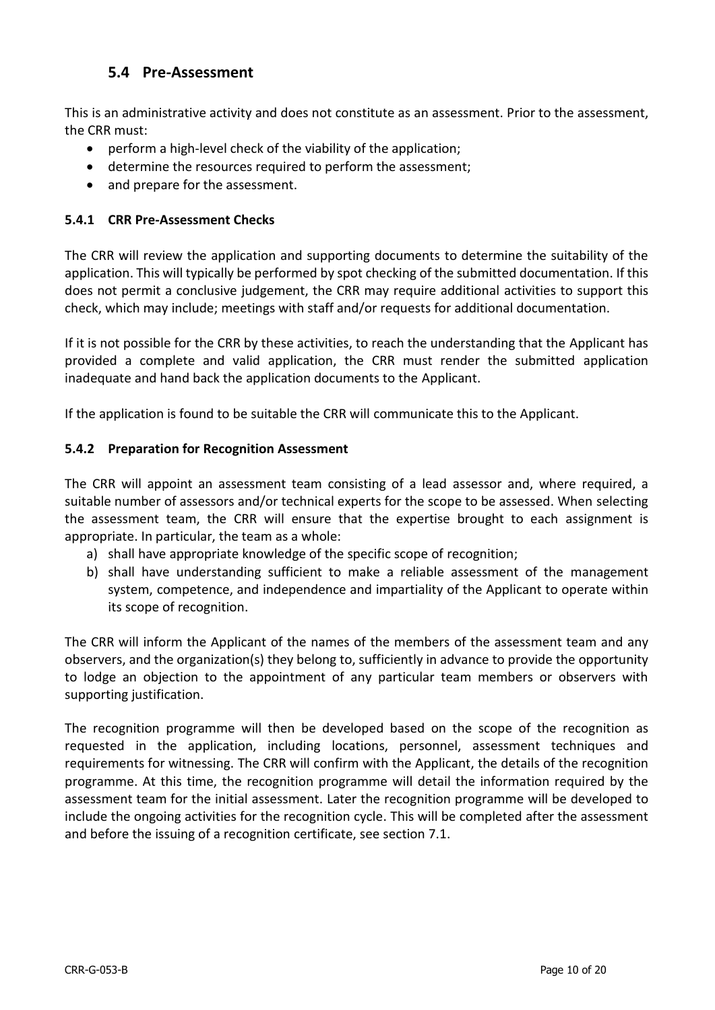## **5.4 Pre-Assessment**

<span id="page-9-0"></span>This is an administrative activity and does not constitute as an assessment. Prior to the assessment, the CRR must:

- perform a high-level check of the viability of the application;
- determine the resources required to perform the assessment;
- and prepare for the assessment.

#### <span id="page-9-1"></span>**5.4.1 CRR Pre-Assessment Checks**

The CRR will review the application and supporting documents to determine the suitability of the application. This will typically be performed by spot checking of the submitted documentation. If this does not permit a conclusive judgement, the CRR may require additional activities to support this check, which may include; meetings with staff and/or requests for additional documentation.

If it is not possible for the CRR by these activities, to reach the understanding that the Applicant has provided a complete and valid application, the CRR must render the submitted application inadequate and hand back the application documents to the Applicant.

If the application is found to be suitable the CRR will communicate this to the Applicant.

#### <span id="page-9-2"></span>**5.4.2 Preparation for Recognition Assessment**

The CRR will appoint an assessment team consisting of a lead assessor and, where required, a suitable number of assessors and/or technical experts for the scope to be assessed. When selecting the assessment team, the CRR will ensure that the expertise brought to each assignment is appropriate. In particular, the team as a whole:

- a) shall have appropriate knowledge of the specific scope of recognition;
- b) shall have understanding sufficient to make a reliable assessment of the management system, competence, and independence and impartiality of the Applicant to operate within its scope of recognition.

The CRR will inform the Applicant of the names of the members of the assessment team and any observers, and the organization(s) they belong to, sufficiently in advance to provide the opportunity to lodge an objection to the appointment of any particular team members or observers with supporting justification.

The recognition programme will then be developed based on the scope of the recognition as requested in the application, including locations, personnel, assessment techniques and requirements for witnessing. The CRR will confirm with the Applicant, the details of the recognition programme. At this time, the recognition programme will detail the information required by the assessment team for the initial assessment. Later the recognition programme will be developed to include the ongoing activities for the recognition cycle. This will be completed after the assessment and before the issuing of a recognition certificate, see section 7.1.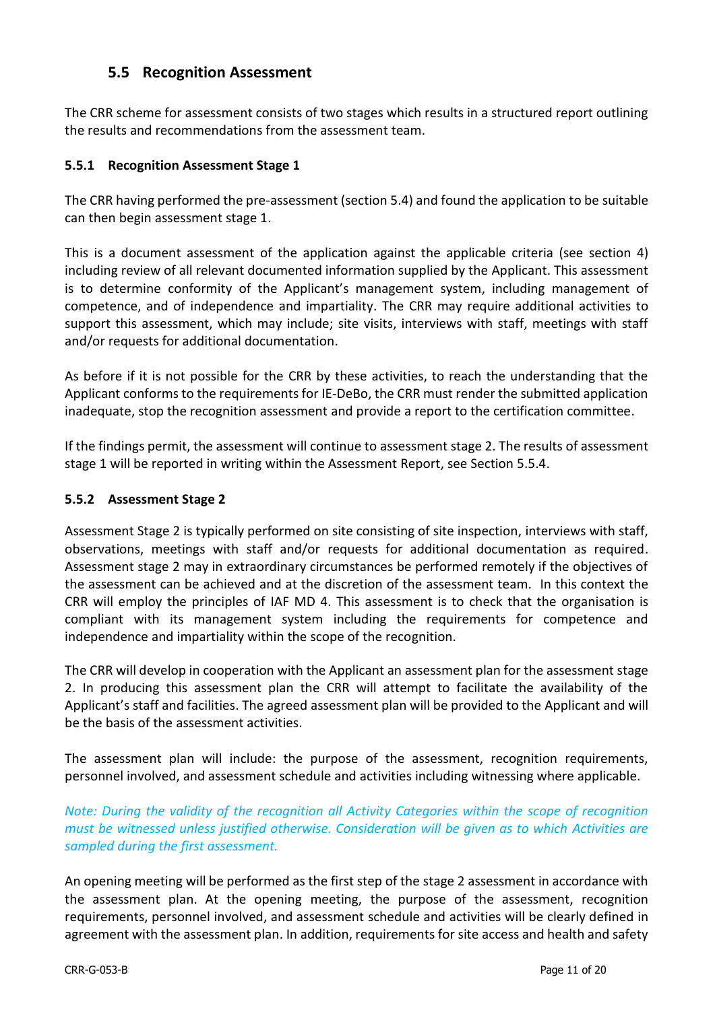## **5.5 Recognition Assessment**

<span id="page-10-0"></span>The CRR scheme for assessment consists of two stages which results in a structured report outlining the results and recommendations from the assessment team.

#### <span id="page-10-1"></span>**5.5.1 Recognition Assessment Stage 1**

The CRR having performed the pre-assessment (section 5.4) and found the application to be suitable can then begin assessment stage 1.

This is a document assessment of the application against the applicable criteria (see section 4) including review of all relevant documented information supplied by the Applicant. This assessment is to determine conformity of the Applicant's management system, including management of competence, and of independence and impartiality. The CRR may require additional activities to support this assessment, which may include; site visits, interviews with staff, meetings with staff and/or requests for additional documentation.

As before if it is not possible for the CRR by these activities, to reach the understanding that the Applicant conforms to the requirements for IE-DeBo, the CRR must render the submitted application inadequate, stop the recognition assessment and provide a report to the certification committee.

If the findings permit, the assessment will continue to assessment stage 2. The results of assessment stage 1 will be reported in writing within the Assessment Report, see Section 5.5.4.

#### <span id="page-10-2"></span>**5.5.2 Assessment Stage 2**

Assessment Stage 2 is typically performed on site consisting of site inspection, interviews with staff, observations, meetings with staff and/or requests for additional documentation as required. Assessment stage 2 may in extraordinary circumstances be performed remotely if the objectives of the assessment can be achieved and at the discretion of the assessment team. In this context the CRR will employ the principles of IAF MD 4. This assessment is to check that the organisation is compliant with its management system including the requirements for competence and independence and impartiality within the scope of the recognition.

The CRR will develop in cooperation with the Applicant an assessment plan for the assessment stage 2. In producing this assessment plan the CRR will attempt to facilitate the availability of the Applicant's staff and facilities. The agreed assessment plan will be provided to the Applicant and will be the basis of the assessment activities.

The assessment plan will include: the purpose of the assessment, recognition requirements, personnel involved, and assessment schedule and activities including witnessing where applicable.

*Note: During the validity of the recognition all Activity Categories within the scope of recognition must be witnessed unless justified otherwise. Consideration will be given as to which Activities are sampled during the first assessment.*

An opening meeting will be performed as the first step of the stage 2 assessment in accordance with the assessment plan. At the opening meeting, the purpose of the assessment, recognition requirements, personnel involved, and assessment schedule and activities will be clearly defined in agreement with the assessment plan. In addition, requirements for site access and health and safety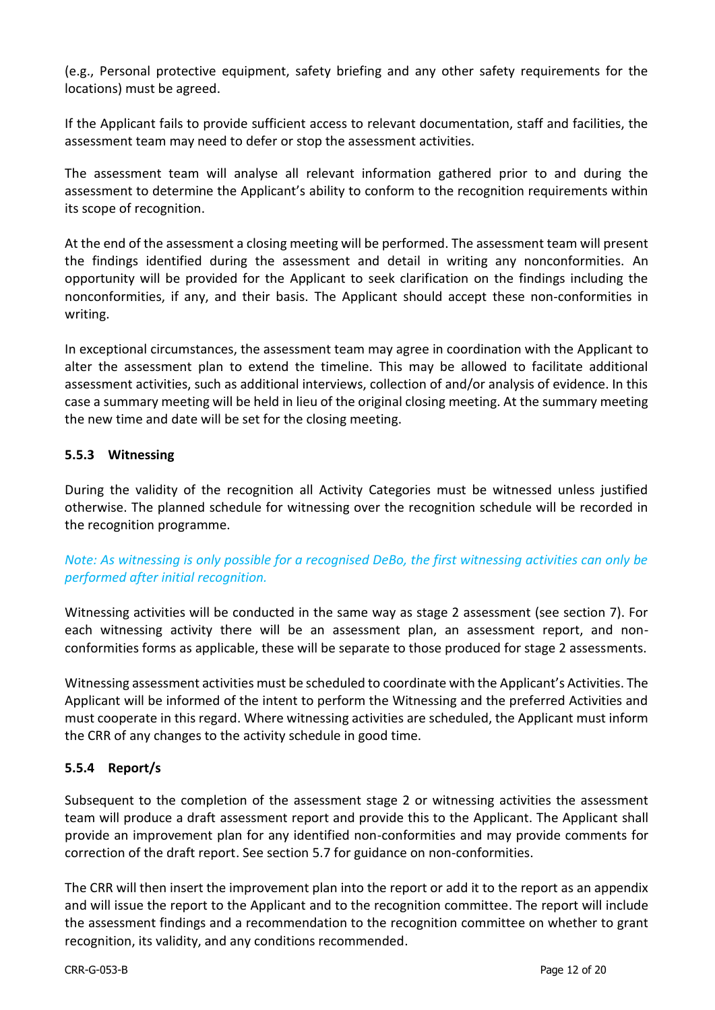(e.g., Personal protective equipment, safety briefing and any other safety requirements for the locations) must be agreed.

If the Applicant fails to provide sufficient access to relevant documentation, staff and facilities, the assessment team may need to defer or stop the assessment activities.

The assessment team will analyse all relevant information gathered prior to and during the assessment to determine the Applicant's ability to conform to the recognition requirements within its scope of recognition.

At the end of the assessment a closing meeting will be performed. The assessment team will present the findings identified during the assessment and detail in writing any nonconformities. An opportunity will be provided for the Applicant to seek clarification on the findings including the nonconformities, if any, and their basis. The Applicant should accept these non-conformities in writing.

In exceptional circumstances, the assessment team may agree in coordination with the Applicant to alter the assessment plan to extend the timeline. This may be allowed to facilitate additional assessment activities, such as additional interviews, collection of and/or analysis of evidence. In this case a summary meeting will be held in lieu of the original closing meeting. At the summary meeting the new time and date will be set for the closing meeting.

#### <span id="page-11-0"></span>**5.5.3 Witnessing**

During the validity of the recognition all Activity Categories must be witnessed unless justified otherwise. The planned schedule for witnessing over the recognition schedule will be recorded in the recognition programme.

### *Note: As witnessing is only possible for a recognised DeBo, the first witnessing activities can only be performed after initial recognition.*

Witnessing activities will be conducted in the same way as stage 2 assessment (see section 7). For each witnessing activity there will be an assessment plan, an assessment report, and nonconformities forms as applicable, these will be separate to those produced for stage 2 assessments.

Witnessing assessment activities must be scheduled to coordinate with the Applicant's Activities. The Applicant will be informed of the intent to perform the Witnessing and the preferred Activities and must cooperate in this regard. Where witnessing activities are scheduled, the Applicant must inform the CRR of any changes to the activity schedule in good time.

#### <span id="page-11-1"></span>**5.5.4 Report/s**

Subsequent to the completion of the assessment stage 2 or witnessing activities the assessment team will produce a draft assessment report and provide this to the Applicant. The Applicant shall provide an improvement plan for any identified non-conformities and may provide comments for correction of the draft report. See section 5.7 for guidance on non-conformities.

The CRR will then insert the improvement plan into the report or add it to the report as an appendix and will issue the report to the Applicant and to the recognition committee. The report will include the assessment findings and a recommendation to the recognition committee on whether to grant recognition, its validity, and any conditions recommended.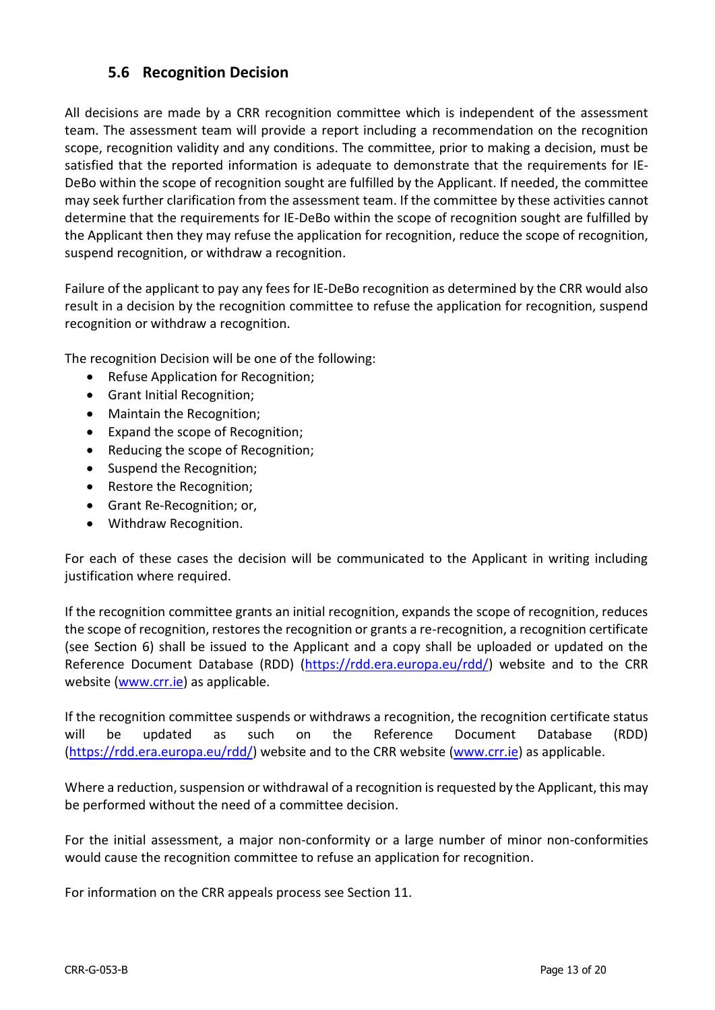## **5.6 Recognition Decision**

<span id="page-12-0"></span>All decisions are made by a CRR recognition committee which is independent of the assessment team. The assessment team will provide a report including a recommendation on the recognition scope, recognition validity and any conditions. The committee, prior to making a decision, must be satisfied that the reported information is adequate to demonstrate that the requirements for IE-DeBo within the scope of recognition sought are fulfilled by the Applicant. If needed, the committee may seek further clarification from the assessment team. If the committee by these activities cannot determine that the requirements for IE-DeBo within the scope of recognition sought are fulfilled by the Applicant then they may refuse the application for recognition, reduce the scope of recognition, suspend recognition, or withdraw a recognition.

Failure of the applicant to pay any fees for IE-DeBo recognition as determined by the CRR would also result in a decision by the recognition committee to refuse the application for recognition, suspend recognition or withdraw a recognition.

The recognition Decision will be one of the following:

- Refuse Application for Recognition;
- Grant Initial Recognition;
- Maintain the Recognition;
- Expand the scope of Recognition;
- Reducing the scope of Recognition;
- Suspend the Recognition;
- Restore the Recognition;
- Grant Re-Recognition; or,
- Withdraw Recognition.

For each of these cases the decision will be communicated to the Applicant in writing including justification where required.

If the recognition committee grants an initial recognition, expands the scope of recognition, reduces the scope of recognition, restores the recognition or grants a re-recognition, a recognition certificate (see Section 6) shall be issued to the Applicant and a copy shall be uploaded or updated on the Reference Document Database (RDD) [\(https://rdd.era.europa.eu/rdd/\)](https://rdd.era.europa.eu/rdd/) website and to the CRR website [\(www.crr.ie\)](http://www.crr.ie/) as applicable.

If the recognition committee suspends or withdraws a recognition, the recognition certificate status will be updated as such on the Reference Document Database (RDD) [\(https://rdd.era.europa.eu/rdd/\)](https://rdd.era.europa.eu/rdd/) website and to the CRR website [\(www.crr.ie\)](http://www.crr.ie/) as applicable.

Where a reduction, suspension or withdrawal of a recognition is requested by the Applicant, this may be performed without the need of a committee decision.

For the initial assessment, a major non-conformity or a large number of minor non-conformities would cause the recognition committee to refuse an application for recognition.

For information on the CRR appeals process see Section 11.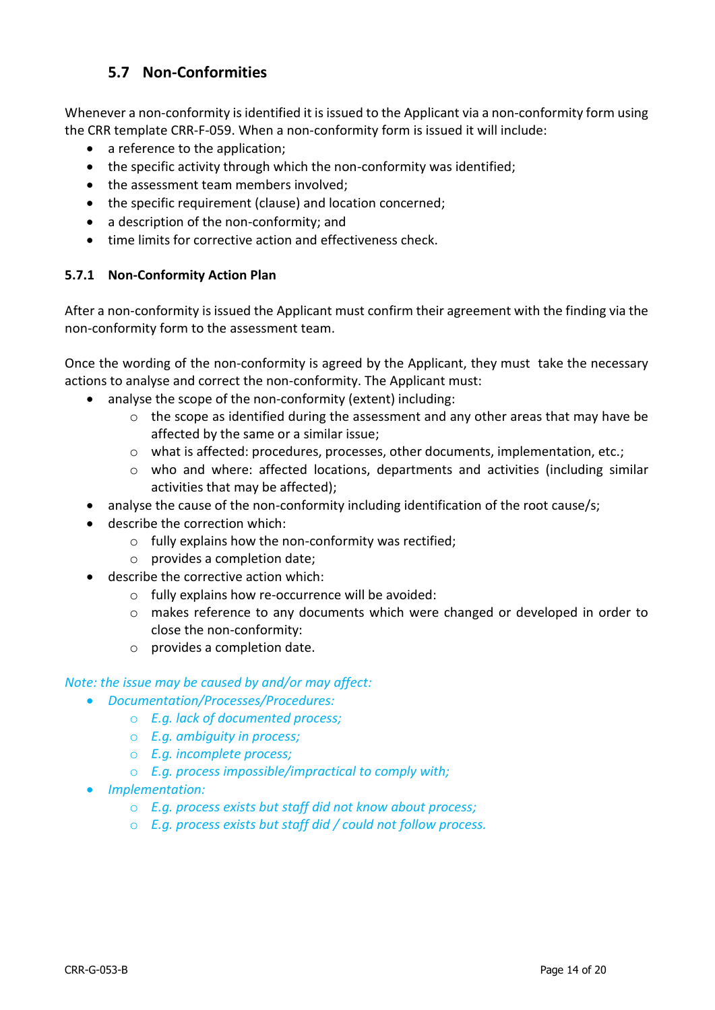## **5.7 Non-Conformities**

<span id="page-13-0"></span>Whenever a non-conformity is identified it is issued to the Applicant via a non-conformity form using the CRR template CRR-F-059. When a non-conformity form is issued it will include:

- a reference to the application;
- the specific activity through which the non-conformity was identified;
- the assessment team members involved:
- the specific requirement (clause) and location concerned;
- a description of the non-conformity; and
- time limits for corrective action and effectiveness check.

#### <span id="page-13-1"></span>**5.7.1 Non-Conformity Action Plan**

After a non-conformity is issued the Applicant must confirm their agreement with the finding via the non-conformity form to the assessment team.

Once the wording of the non-conformity is agreed by the Applicant, they must take the necessary actions to analyse and correct the non-conformity. The Applicant must:

- analyse the scope of the non-conformity (extent) including:
	- o the scope as identified during the assessment and any other areas that may have be affected by the same or a similar issue;
	- o what is affected: procedures, processes, other documents, implementation, etc.;
	- o who and where: affected locations, departments and activities (including similar activities that may be affected);
- analyse the cause of the non-conformity including identification of the root cause/s;
- describe the correction which:
	- o fully explains how the non-conformity was rectified;
	- o provides a completion date;
- describe the corrective action which:
	- o fully explains how re-occurrence will be avoided:
	- o makes reference to any documents which were changed or developed in order to close the non-conformity:
	- o provides a completion date.

#### *Note: the issue may be caused by and/or may affect:*

- *Documentation/Processes/Procedures:*
	- o *E.g. lack of documented process;*
	- o *E.g. ambiguity in process;*
	- o *E.g. incomplete process;*
		- o *E.g. process impossible/impractical to comply with;*
- *Implementation:*
	- o *E.g. process exists but staff did not know about process;*
	- o *E.g. process exists but staff did / could not follow process.*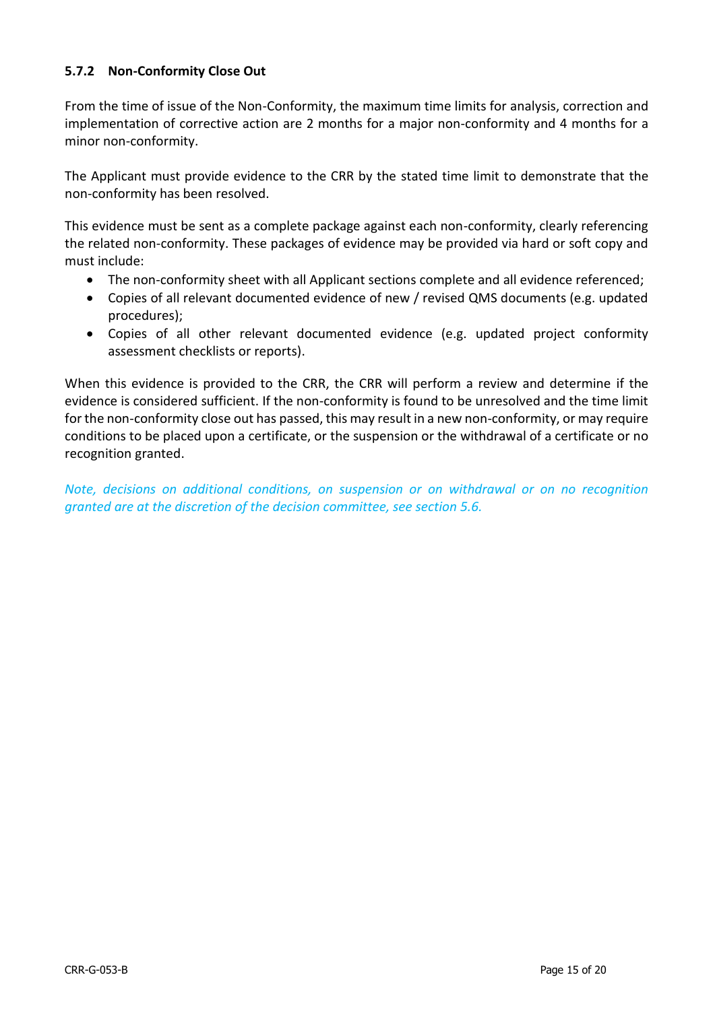#### <span id="page-14-0"></span>**5.7.2 Non-Conformity Close Out**

From the time of issue of the Non-Conformity, the maximum time limits for analysis, correction and implementation of corrective action are 2 months for a major non-conformity and 4 months for a minor non-conformity.

The Applicant must provide evidence to the CRR by the stated time limit to demonstrate that the non-conformity has been resolved.

This evidence must be sent as a complete package against each non-conformity, clearly referencing the related non-conformity. These packages of evidence may be provided via hard or soft copy and must include:

- The non-conformity sheet with all Applicant sections complete and all evidence referenced;
- Copies of all relevant documented evidence of new / revised QMS documents (e.g. updated procedures);
- Copies of all other relevant documented evidence (e.g. updated project conformity assessment checklists or reports).

When this evidence is provided to the CRR, the CRR will perform a review and determine if the evidence is considered sufficient. If the non-conformity is found to be unresolved and the time limit for the non-conformity close out has passed, this may result in a new non-conformity, or may require conditions to be placed upon a certificate, or the suspension or the withdrawal of a certificate or no recognition granted.

*Note, decisions on additional conditions, on suspension or on withdrawal or on no recognition granted are at the discretion of the decision committee, see section 5.6.*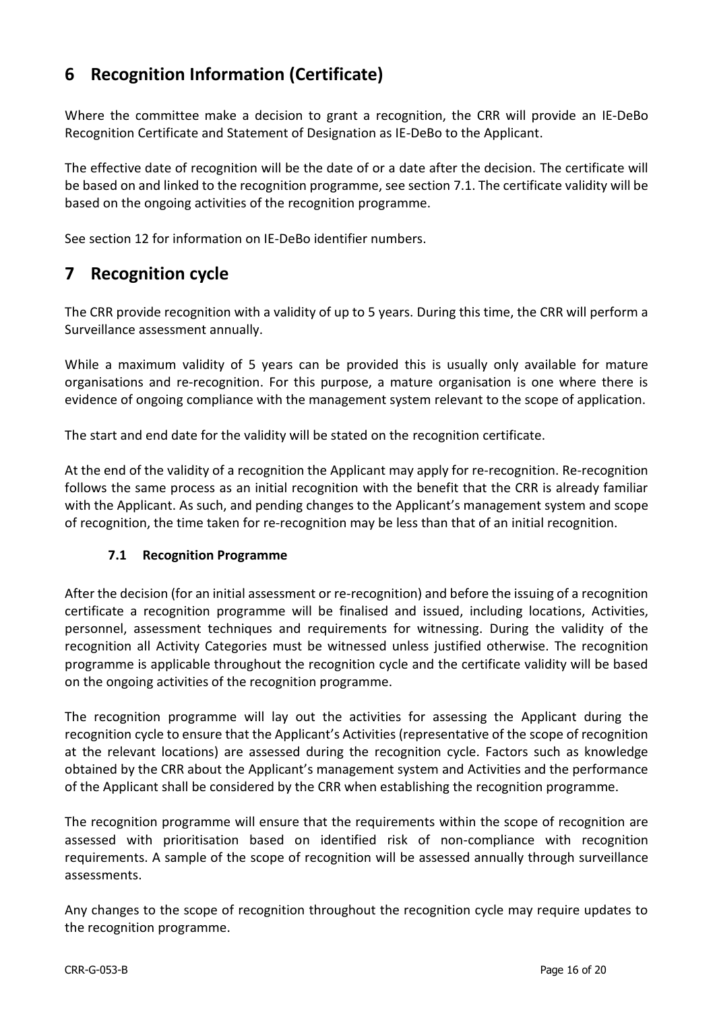# <span id="page-15-0"></span>**6 Recognition Information (Certificate)**

Where the committee make a decision to grant a recognition, the CRR will provide an IE-DeBo Recognition Certificate and Statement of Designation as IE-DeBo to the Applicant.

The effective date of recognition will be the date of or a date after the decision. The certificate will be based on and linked to the recognition programme, see section 7.1. The certificate validity will be based on the ongoing activities of the recognition programme.

See section 12 for information on IE-DeBo identifier numbers.

## <span id="page-15-1"></span>**7 Recognition cycle**

The CRR provide recognition with a validity of up to 5 years. During this time, the CRR will perform a Surveillance assessment annually.

While a maximum validity of 5 years can be provided this is usually only available for mature organisations and re-recognition. For this purpose, a mature organisation is one where there is evidence of ongoing compliance with the management system relevant to the scope of application.

The start and end date for the validity will be stated on the recognition certificate.

At the end of the validity of a recognition the Applicant may apply for re-recognition. Re-recognition follows the same process as an initial recognition with the benefit that the CRR is already familiar with the Applicant. As such, and pending changes to the Applicant's management system and scope of recognition, the time taken for re-recognition may be less than that of an initial recognition.

#### <span id="page-15-2"></span>**7.1 Recognition Programme**

After the decision (for an initial assessment or re-recognition) and before the issuing of a recognition certificate a recognition programme will be finalised and issued, including locations, Activities, personnel, assessment techniques and requirements for witnessing. During the validity of the recognition all Activity Categories must be witnessed unless justified otherwise. The recognition programme is applicable throughout the recognition cycle and the certificate validity will be based on the ongoing activities of the recognition programme.

The recognition programme will lay out the activities for assessing the Applicant during the recognition cycle to ensure that the Applicant's Activities (representative of the scope of recognition at the relevant locations) are assessed during the recognition cycle. Factors such as knowledge obtained by the CRR about the Applicant's management system and Activities and the performance of the Applicant shall be considered by the CRR when establishing the recognition programme.

The recognition programme will ensure that the requirements within the scope of recognition are assessed with prioritisation based on identified risk of non-compliance with recognition requirements. A sample of the scope of recognition will be assessed annually through surveillance assessments.

Any changes to the scope of recognition throughout the recognition cycle may require updates to the recognition programme.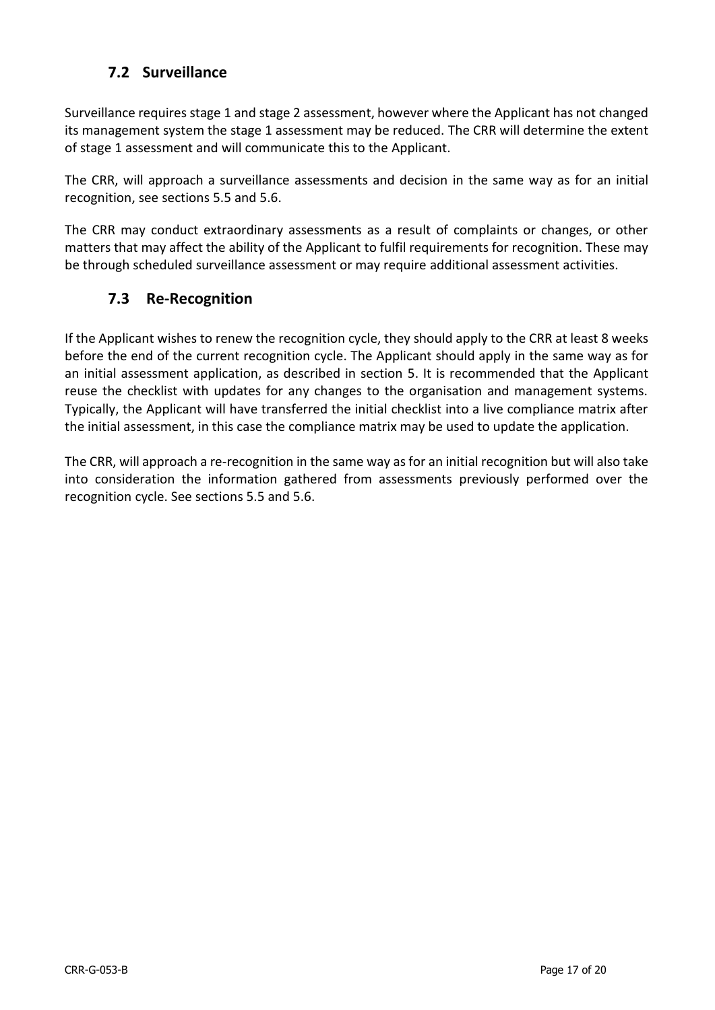## **7.2 Surveillance**

<span id="page-16-0"></span>Surveillance requires stage 1 and stage 2 assessment, however where the Applicant has not changed its management system the stage 1 assessment may be reduced. The CRR will determine the extent of stage 1 assessment and will communicate this to the Applicant.

The CRR, will approach a surveillance assessments and decision in the same way as for an initial recognition, see sections 5.5 and 5.6.

The CRR may conduct extraordinary assessments as a result of complaints or changes, or other matters that may affect the ability of the Applicant to fulfil requirements for recognition. These may be through scheduled surveillance assessment or may require additional assessment activities.

## <span id="page-16-1"></span>**7.3 Re-Recognition**

If the Applicant wishes to renew the recognition cycle, they should apply to the CRR at least 8 weeks before the end of the current recognition cycle. The Applicant should apply in the same way as for an initial assessment application, as described in section 5. It is recommended that the Applicant reuse the checklist with updates for any changes to the organisation and management systems. Typically, the Applicant will have transferred the initial checklist into a live compliance matrix after the initial assessment, in this case the compliance matrix may be used to update the application.

The CRR, will approach a re-recognition in the same way as for an initial recognition but will also take into consideration the information gathered from assessments previously performed over the recognition cycle. See sections 5.5 and 5.6.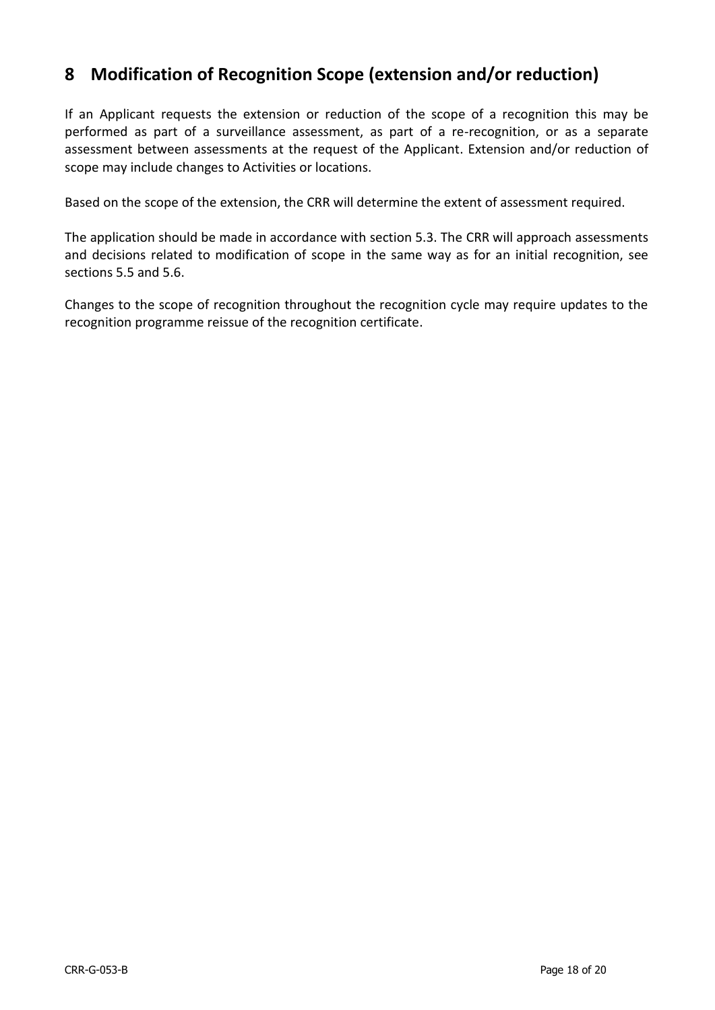# <span id="page-17-0"></span>**8 Modification of Recognition Scope (extension and/or reduction)**

If an Applicant requests the extension or reduction of the scope of a recognition this may be performed as part of a surveillance assessment, as part of a re-recognition, or as a separate assessment between assessments at the request of the Applicant. Extension and/or reduction of scope may include changes to Activities or locations.

Based on the scope of the extension, the CRR will determine the extent of assessment required.

The application should be made in accordance with section 5.3. The CRR will approach assessments and decisions related to modification of scope in the same way as for an initial recognition, see sections 5.5 and 5.6.

Changes to the scope of recognition throughout the recognition cycle may require updates to the recognition programme reissue of the recognition certificate.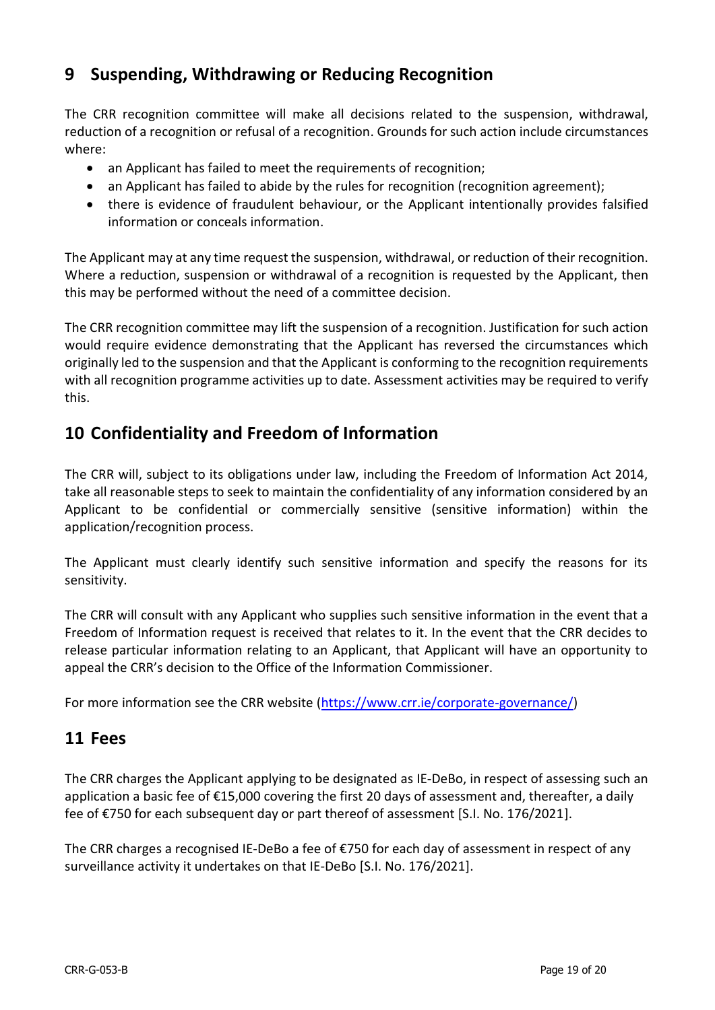# <span id="page-18-0"></span>**9 Suspending, Withdrawing or Reducing Recognition**

The CRR recognition committee will make all decisions related to the suspension, withdrawal, reduction of a recognition or refusal of a recognition. Grounds for such action include circumstances where:

- an Applicant has failed to meet the requirements of recognition;
- an Applicant has failed to abide by the rules for recognition (recognition agreement);
- there is evidence of fraudulent behaviour, or the Applicant intentionally provides falsified information or conceals information.

The Applicant may at any time request the suspension, withdrawal, or reduction of their recognition. Where a reduction, suspension or withdrawal of a recognition is requested by the Applicant, then this may be performed without the need of a committee decision.

The CRR recognition committee may lift the suspension of a recognition. Justification for such action would require evidence demonstrating that the Applicant has reversed the circumstances which originally led to the suspension and that the Applicant is conforming to the recognition requirements with all recognition programme activities up to date. Assessment activities may be required to verify this.

# <span id="page-18-1"></span>**10 Confidentiality and Freedom of Information**

The CRR will, subject to its obligations under law, including the Freedom of Information Act 2014, take all reasonable steps to seek to maintain the confidentiality of any information considered by an Applicant to be confidential or commercially sensitive (sensitive information) within the application/recognition process.

The Applicant must clearly identify such sensitive information and specify the reasons for its sensitivity.

The CRR will consult with any Applicant who supplies such sensitive information in the event that a Freedom of Information request is received that relates to it. In the event that the CRR decides to release particular information relating to an Applicant, that Applicant will have an opportunity to appeal the CRR's decision to the Office of the Information Commissioner.

For more information see the CRR website [\(https://www.crr.ie/corporate-governance/\)](https://www.crr.ie/corporate-governance/)

## <span id="page-18-2"></span>**11 Fees**

The CRR charges the Applicant applying to be designated as IE-DeBo, in respect of assessing such an application a basic fee of €15,000 covering the first 20 days of assessment and, thereafter, a daily fee of €750 for each subsequent day or part thereof of assessment [S.I. No. 176/2021].

The CRR charges a recognised IE-DeBo a fee of €750 for each day of assessment in respect of any surveillance activity it undertakes on that IE-DeBo [S.I. No. 176/2021].